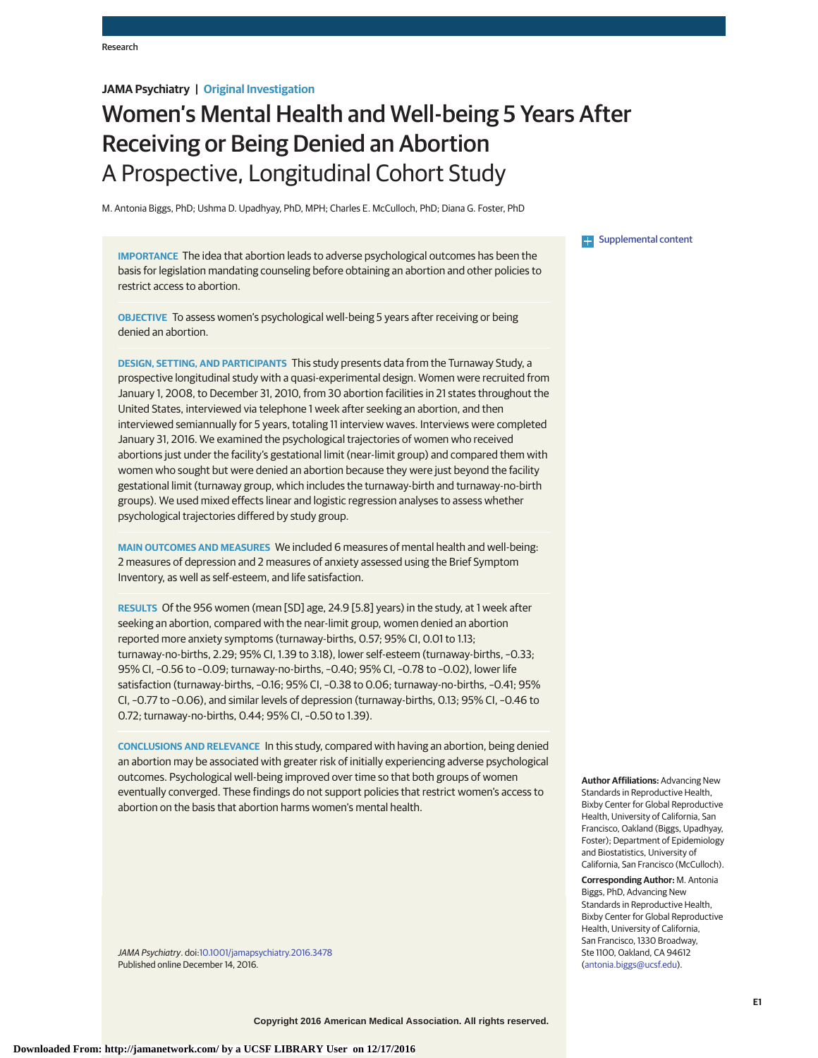## **JAMA Psychiatry | Original Investigation**

# Women's Mental Health and Well-being 5 Years After Receiving or Being Denied an Abortion A Prospective, Longitudinal Cohort Study

M. Antonia Biggs, PhD; Ushma D. Upadhyay, PhD, MPH; Charles E. McCulloch, PhD; Diana G. Foster, PhD

**IMPORTANCE** The idea that abortion leads to adverse psychological outcomes has been the basis for legislation mandating counseling before obtaining an abortion and other policies to restrict access to abortion.

**OBJECTIVE** To assess women's psychological well-being 5 years after receiving or being denied an abortion.

**DESIGN, SETTING, AND PARTICIPANTS** This study presents data from the Turnaway Study, a prospective longitudinal study with a quasi-experimental design. Women were recruited from January 1, 2008, to December 31, 2010, from 30 abortion facilities in 21 states throughout the United States, interviewed via telephone 1 week after seeking an abortion, and then interviewed semiannually for 5 years, totaling 11 interview waves. Interviews were completed January 31, 2016. We examined the psychological trajectories of women who received abortions just under the facility's gestational limit (near-limit group) and compared them with women who sought but were denied an abortion because they were just beyond the facility gestational limit (turnaway group, which includes the turnaway-birth and turnaway-no-birth groups). We used mixed effects linear and logistic regression analyses to assess whether psychological trajectories differed by study group.

**MAIN OUTCOMES AND MEASURES** We included 6 measures of mental health and well-being: 2 measures of depression and 2 measures of anxiety assessed using the Brief Symptom Inventory, as well as self-esteem, and life satisfaction.

**RESULTS** Of the 956 women (mean [SD] age, 24.9 [5.8] years) in the study, at 1 week after seeking an abortion, compared with the near-limit group, women denied an abortion reported more anxiety symptoms (turnaway-births, 0.57; 95% CI, 0.01 to 1.13; turnaway-no-births, 2.29; 95% CI, 1.39 to 3.18), lower self-esteem (turnaway-births, –0.33; 95% CI, –0.56 to –0.09; turnaway-no-births, –0.40; 95% CI, –0.78 to –0.02), lower life satisfaction (turnaway-births, –0.16; 95% CI, –0.38 to 0.06; turnaway-no-births, –0.41; 95% CI, –0.77 to –0.06), and similar levels of depression (turnaway-births, 0.13; 95% CI, –0.46 to 0.72; turnaway-no-births, 0.44; 95% CI, –0.50 to 1.39).

**CONCLUSIONS AND RELEVANCE** In this study, compared with having an abortion, being denied an abortion may be associated with greater risk of initially experiencing adverse psychological outcomes. Psychological well-being improved over time so that both groups of women eventually converged. These findings do not support policies that restrict women's access to abortion on the basis that abortion harms women's mental health.

JAMA Psychiatry. doi[:10.1001/jamapsychiatry.2016.3478](http://jama.jamanetwork.com/article.aspx?doi=10.1001/jamapsychiatry.2016.3478&utm_campaign=articlePDF%26utm_medium=articlePDFlink%26utm_source=articlePDF%26utm_content=jamapsychiatry.2016.3478) Published online December 14, 2016.

**Examplemental content** 

**Author Affiliations:** Advancing New Standards in Reproductive Health, Bixby Center for Global Reproductive Health, University of California, San Francisco, Oakland (Biggs, Upadhyay, Foster); Department of Epidemiology and Biostatistics, University of California, San Francisco (McCulloch).

**Corresponding Author:** M. Antonia Biggs, PhD, Advancing New Standards in Reproductive Health, Bixby Center for Global Reproductive Health, University of California, San Francisco, 1330 Broadway, Ste 1100, Oakland, CA 94612 [\(antonia.biggs@ucsf.edu\)](mailto:antonia.biggs@ucsf.edu).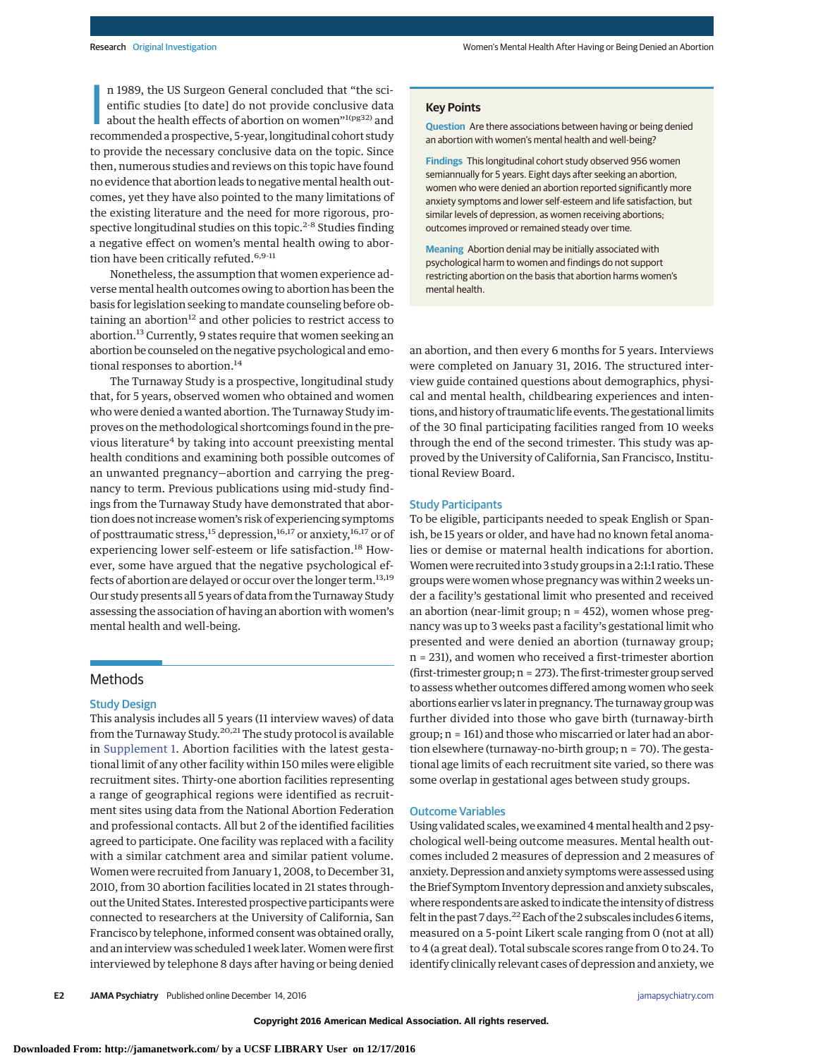n 1989, the US Surgeon General concluded that "the scientific studies [to date] do not provide conclusive data about the health effects of abortion on women"<sup>1(pg32)</sup> and recommended a prospective, 5-year, longitudinal coh n 1989, the US Surgeon General concluded that "the scientific studies [to date] do not provide conclusive data about the health effects of abortion on women"<sup>1(pg32)</sup> and to provide the necessary conclusive data on the topic. Since then, numerous studies and reviews on this topic have found no evidence that abortion leads to negative mental health outcomes, yet they have also pointed to the many limitations of the existing literature and the need for more rigorous, prospective longitudinal studies on this topic.<sup>2-8</sup> Studies finding a negative effect on women's mental health owing to abortion have been critically refuted.<sup>6,9-11</sup>

Nonetheless, the assumption that women experience adverse mental health outcomes owing to abortion has been the basis for legislation seeking to mandate counseling before obtaining an abortion $12$  and other policies to restrict access to abortion.<sup>13</sup> Currently, 9 states require that women seeking an abortion be counseled on the negative psychological and emotional responses to abortion.<sup>14</sup>

The Turnaway Study is a prospective, longitudinal study that, for 5 years, observed women who obtained and women who were denied a wanted abortion. The Turnaway Study improves on the methodological shortcomings found in the previous literature<sup>4</sup> by taking into account preexisting mental health conditions and examining both possible outcomes of an unwanted pregnancy—abortion and carrying the pregnancy to term. Previous publications using mid-study findings from the Turnaway Study have demonstrated that abortion does not increase women's risk of experiencing symptoms of posttraumatic stress,<sup>15</sup> depression,<sup>16,17</sup> or anxiety,<sup>16,17</sup> or of experiencing lower self-esteem or life satisfaction.<sup>18</sup> However, some have argued that the negative psychological effects of abortion are delayed or occur over the longer term.<sup>13,19</sup> Our study presents all 5 years of data from the Turnaway Study assessing the association of having an abortion with women's mental health and well-being.

### Methods

#### Study Design

This analysis includes all 5 years (11 interview waves) of data from the Turnaway Study.<sup>20,21</sup> The study protocol is available in [Supplement 1.](http://jama.jamanetwork.com/article.aspx?doi=10.1001/jamapsychiatry.2016.3478&utm_campaign=articlePDF%26utm_medium=articlePDFlink%26utm_source=articlePDF%26utm_content=jamapsychiatry.2016.3478) Abortion facilities with the latest gestational limit of any other facility within 150 miles were eligible recruitment sites. Thirty-one abortion facilities representing a range of geographical regions were identified as recruitment sites using data from the National Abortion Federation and professional contacts. All but 2 of the identified facilities agreed to participate. One facility was replaced with a facility with a similar catchment area and similar patient volume. Women were recruited from January 1, 2008, to December 31, 2010, from 30 abortion facilities located in 21 states throughout the United States. Interested prospective participants were connected to researchers at the University of California, San Francisco by telephone, informed consent was obtained orally, and an interview was scheduled 1 week later. Women were first interviewed by telephone 8 days after having or being denied

#### **Key Points**

**Question** Are there associations between having or being denied an abortion with women's mental health and well-being?

**Findings** This longitudinal cohort study observed 956 women semiannually for 5 years. Eight days after seeking an abortion, women who were denied an abortion reported significantly more anxiety symptoms and lower self-esteem and life satisfaction, but similar levels of depression, as women receiving abortions; outcomes improved or remained steady over time.

**Meaning** Abortion denial may be initially associated with psychological harm to women and findings do not support restricting abortion on the basis that abortion harms women's mental health.

an abortion, and then every 6 months for 5 years. Interviews were completed on January 31, 2016. The structured interview guide contained questions about demographics, physical and mental health, childbearing experiences and intentions, and history of traumatic life events. The gestational limits of the 30 final participating facilities ranged from 10 weeks through the end of the second trimester. This study was approved by the University of California, San Francisco, Institutional Review Board.

## Study Participants

To be eligible, participants needed to speak English or Spanish, be 15 years or older, and have had no known fetal anomalies or demise or maternal health indications for abortion. Women were recruited into 3 study groups in a 2:1:1 ratio. These groups were women whose pregnancy was within 2 weeks under a facility's gestational limit who presented and received an abortion (near-limit group; n = 452), women whose pregnancy was up to 3 weeks past a facility's gestational limit who presented and were denied an abortion (turnaway group; n = 231), and women who received a first-trimester abortion (first-trimester group; n = 273). The first-trimester group served to assess whether outcomes differed among women who seek abortions earlier vs later in pregnancy. The turnaway group was further divided into those who gave birth (turnaway-birth group; n = 161) and those who miscarried or later had an abortion elsewhere (turnaway-no-birth group; n = 70). The gestational age limits of each recruitment site varied, so there was some overlap in gestational ages between study groups.

#### Outcome Variables

Using validated scales, we examined 4mental health and 2 psychological well-being outcome measures. Mental health outcomes included 2 measures of depression and 2 measures of anxiety. Depression and anxiety symptomswere assessed using the Brief Symptom Inventory depression and anxiety subscales, where respondents are asked to indicate the intensity of distress felt in the past 7 days.<sup>22</sup> Each of the 2 subscales includes 6 items, measured on a 5-point Likert scale ranging from 0 (not at all) to 4 (a great deal). Total subscale scores range from 0 to 24. To identify clinically relevant cases of depression and anxiety, we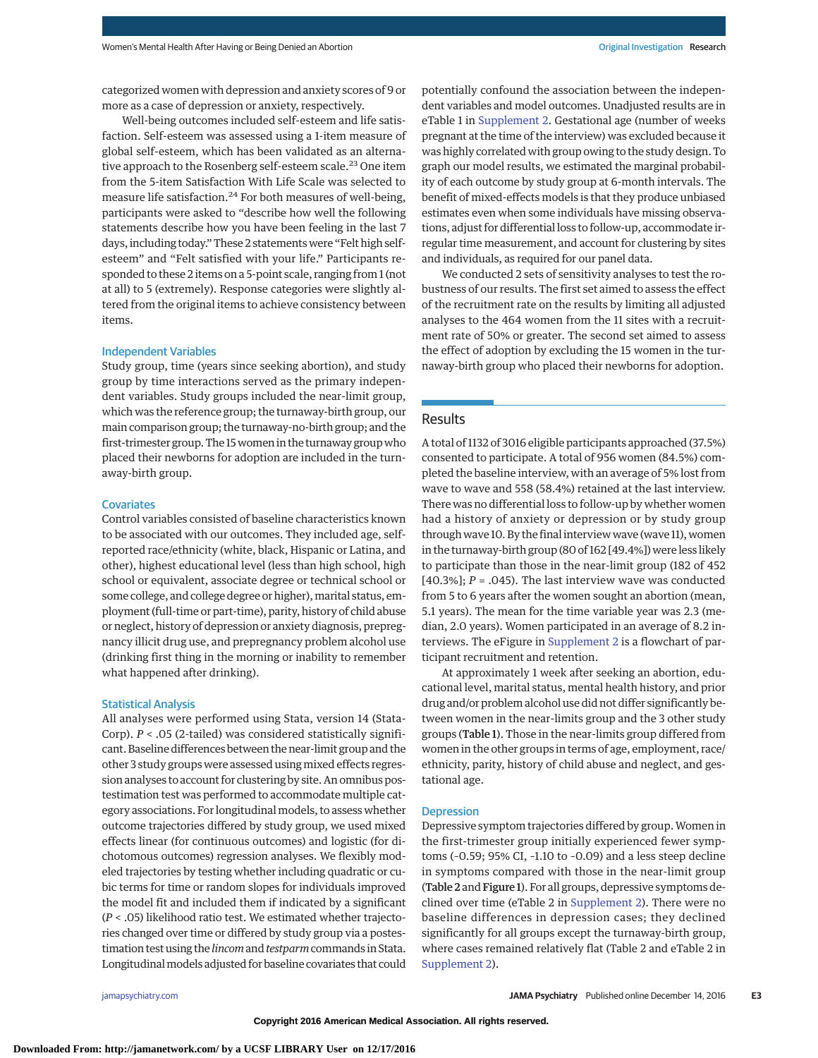categorized women with depression and anxiety scores of 9 or more as a case of depression or anxiety, respectively.

Well-being outcomes included self-esteem and life satisfaction. Self-esteem was assessed using a 1-item measure of global self-esteem, which has been validated as an alternative approach to the Rosenberg self-esteem scale.<sup>23</sup> One item from the 5-item Satisfaction With Life Scale was selected to measure life satisfaction.<sup>24</sup> For both measures of well-being, participants were asked to "describe how well the following statements describe how you have been feeling in the last 7 days, including today." These 2 statements were "Felt high selfesteem" and "Felt satisfied with your life." Participants responded to these 2 items on a 5-point scale, ranging from 1 (not at all) to 5 (extremely). Response categories were slightly altered from the original items to achieve consistency between items.

#### Independent Variables

Study group, time (years since seeking abortion), and study group by time interactions served as the primary independent variables. Study groups included the near-limit group, which was the reference group; the turnaway-birth group, our main comparison group; the turnaway-no-birth group; and the first-trimester group. The 15women in the turnaway groupwho placed their newborns for adoption are included in the turnaway-birth group.

#### **Covariates**

Control variables consisted of baseline characteristics known to be associated with our outcomes. They included age, selfreported race/ethnicity (white, black, Hispanic or Latina, and other), highest educational level (less than high school, high school or equivalent, associate degree or technical school or some college, and college degree or higher), marital status, employment (full-time or part-time), parity, history of child abuse or neglect, history of depression or anxiety diagnosis, prepregnancy illicit drug use, and prepregnancy problem alcohol use (drinking first thing in the morning or inability to remember what happened after drinking).

#### Statistical Analysis

All analyses were performed using Stata, version 14 (Stata-Corp). *P* < .05 (2-tailed) was considered statistically significant. Baseline differences between the near-limit group and the other 3 study groups were assessed using mixed effects regression analyses to account for clustering by site. An omnibus postestimation test was performed to accommodate multiple category associations. For longitudinal models, to assess whether outcome trajectories differed by study group, we used mixed effects linear (for continuous outcomes) and logistic (for dichotomous outcomes) regression analyses. We flexibly modeled trajectories by testing whether including quadratic or cubic terms for time or random slopes for individuals improved the model fit and included them if indicated by a significant (*P* < .05) likelihood ratio test. We estimated whether trajectories changed over time or differed by study group via a postestimation test using the *lincom*and*testparm*commands in Stata. Longitudinal models adjusted for baseline covariates that could

potentially confound the association between the independent variables and model outcomes. Unadjusted results are in eTable 1 in [Supplement 2.](http://jama.jamanetwork.com/article.aspx?doi=10.1001/jamapsychiatry.2016.3478&utm_campaign=articlePDF%26utm_medium=articlePDFlink%26utm_source=articlePDF%26utm_content=jamapsychiatry.2016.3478) Gestational age (number of weeks pregnant at the time of the interview) was excluded because it was highly correlated with group owing to the study design. To graph our model results, we estimated the marginal probability of each outcome by study group at 6-month intervals. The benefit of mixed-effects models is that they produce unbiased estimates even when some individuals have missing observations, adjust for differential loss to follow-up, accommodate irregular time measurement, and account for clustering by sites and individuals, as required for our panel data.

We conducted 2 sets of sensitivity analyses to test the robustness of our results. The first set aimed to assess the effect of the recruitment rate on the results by limiting all adjusted analyses to the 464 women from the 11 sites with a recruitment rate of 50% or greater. The second set aimed to assess the effect of adoption by excluding the 15 women in the turnaway-birth group who placed their newborns for adoption.

#### Results

A total of 1132 of 3016 eligible participants approached (37.5%) consented to participate. A total of 956 women (84.5%) completed the baseline interview, with an average of 5% lost from wave to wave and 558 (58.4%) retained at the last interview. There was no differential loss to follow-up by whether women had a history of anxiety or depression or by study group through wave 10. By the final interview wave (wave 11), women in the turnaway-birth group (80 of 162 [49.4%]) were less likely to participate than those in the near-limit group (182 of 452 [40.3%];  $P = .045$ ). The last interview wave was conducted from 5 to 6 years after the women sought an abortion (mean, 5.1 years). The mean for the time variable year was 2.3 (median, 2.0 years). Women participated in an average of 8.2 interviews. The eFigure in [Supplement 2](http://jama.jamanetwork.com/article.aspx?doi=10.1001/jamapsychiatry.2016.3478&utm_campaign=articlePDF%26utm_medium=articlePDFlink%26utm_source=articlePDF%26utm_content=jamapsychiatry.2016.3478) is a flowchart of participant recruitment and retention.

At approximately 1 week after seeking an abortion, educational level, marital status, mental health history, and prior drug and/or problem alcohol use did not differ significantly between women in the near-limits group and the 3 other study groups (Table 1). Those in the near-limits group differed from women in the other groups in terms of age, employment, race/ ethnicity, parity, history of child abuse and neglect, and gestational age.

#### **Depression**

Depressive symptom trajectories differed by group.Women in the first-trimester group initially experienced fewer symptoms (–0.59; 95% CI, –1.10 to –0.09) and a less steep decline in symptoms compared with those in the near-limit group (Table 2 and Figure 1). For all groups, depressive symptoms declined over time (eTable 2 in [Supplement 2\)](http://jama.jamanetwork.com/article.aspx?doi=10.1001/jamapsychiatry.2016.3478&utm_campaign=articlePDF%26utm_medium=articlePDFlink%26utm_source=articlePDF%26utm_content=jamapsychiatry.2016.3478). There were no baseline differences in depression cases; they declined significantly for all groups except the turnaway-birth group, where cases remained relatively flat (Table 2 and eTable 2 in [Supplement 2\)](http://jama.jamanetwork.com/article.aspx?doi=10.1001/jamapsychiatry.2016.3478&utm_campaign=articlePDF%26utm_medium=articlePDFlink%26utm_source=articlePDF%26utm_content=jamapsychiatry.2016.3478).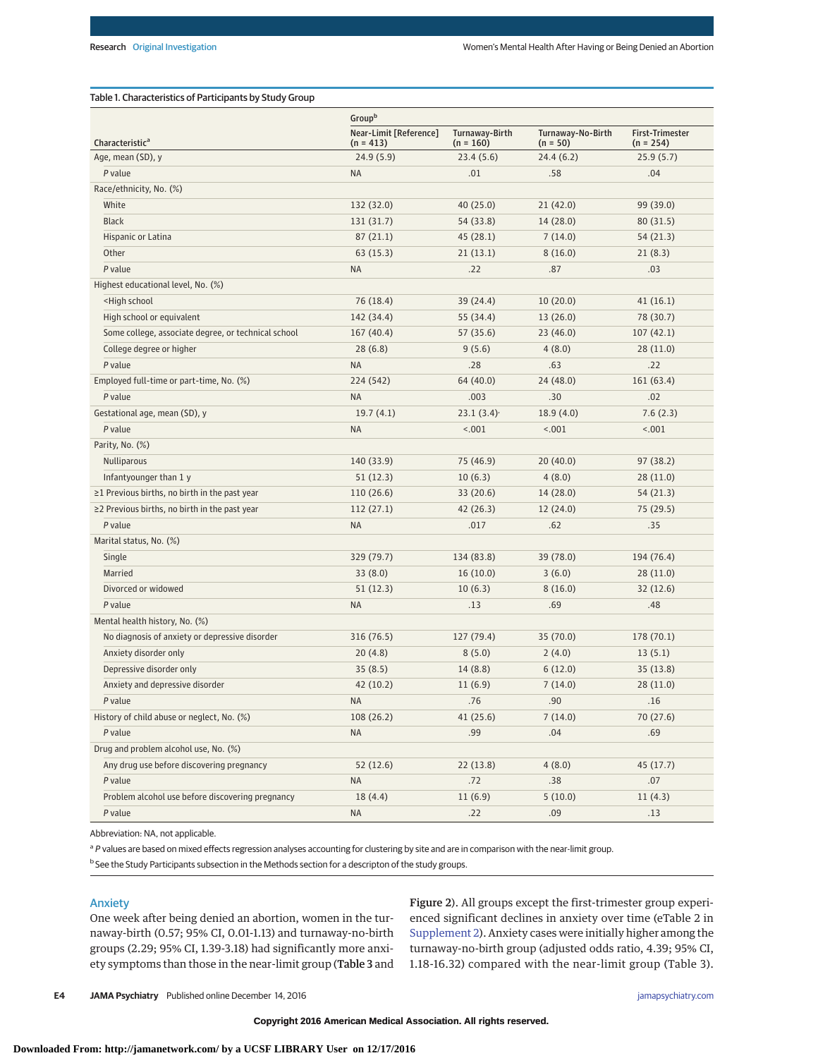## Table 1. Characteristics of Participants by Study Group

|                                                                                                      | Groupb                                |                               |                                 |                                       |  |
|------------------------------------------------------------------------------------------------------|---------------------------------------|-------------------------------|---------------------------------|---------------------------------------|--|
| Characteristic <sup>a</sup>                                                                          | Near-Limit [Reference]<br>$(n = 413)$ | Turnaway-Birth<br>$(n = 160)$ | Turnaway-No-Birth<br>$(n = 50)$ | <b>First-Trimester</b><br>$(n = 254)$ |  |
| Age, mean (SD), y                                                                                    | 24.9(5.9)                             | 23.4(5.6)                     | 24.4(6.2)                       | 25.9(5.7)                             |  |
| P value                                                                                              | <b>NA</b>                             | .01                           | .58                             | .04                                   |  |
| Race/ethnicity, No. (%)                                                                              |                                       |                               |                                 |                                       |  |
| White                                                                                                | 132 (32.0)                            | 40 (25.0)                     | 21(42.0)                        | 99 (39.0)                             |  |
| <b>Black</b>                                                                                         | 131 (31.7)                            | 54 (33.8)                     | 14 (28.0)                       | 80 (31.5)                             |  |
| Hispanic or Latina                                                                                   | 87(21.1)                              | 45(28.1)                      | 7(14.0)                         | 54 (21.3)                             |  |
| Other                                                                                                | 63 (15.3)                             | 21(13.1)                      | 8(16.0)                         | 21(8.3)                               |  |
| P value                                                                                              | <b>NA</b>                             | .22                           | .87                             | .03                                   |  |
| Highest educational level, No. (%)                                                                   |                                       |                               |                                 |                                       |  |
| <high school<="" td=""><td>76 (18.4)</td><td>39 (24.4)</td><td>10(20.0)</td><td>41(16.1)</td></high> | 76 (18.4)                             | 39 (24.4)                     | 10(20.0)                        | 41(16.1)                              |  |
| High school or equivalent                                                                            | 142 (34.4)                            | 55 (34.4)                     | 13(26.0)                        | 78 (30.7)                             |  |
| Some college, associate degree, or technical school                                                  | 167(40.4)                             | 57 (35.6)                     | 23(46.0)                        | 107(42.1)                             |  |
| College degree or higher                                                                             | 28(6.8)                               | 9(5.6)                        | 4(8.0)                          | 28 (11.0)                             |  |
| P value                                                                                              | <b>NA</b>                             | .28                           | .63                             | .22                                   |  |
| Employed full-time or part-time, No. (%)                                                             | 224 (542)                             | 64 (40.0)                     | 24 (48.0)                       | 161(63.4)                             |  |
| P value                                                                                              | <b>NA</b>                             | .003                          | .30                             | .02                                   |  |
| Gestational age, mean (SD), y                                                                        | 19.7(4.1)                             | 23.1 (3.4)                    | 18.9(4.0)                       | 7.6(2.3)                              |  |
| P value                                                                                              | <b>NA</b>                             | < .001                        | < .001                          | < .001                                |  |
| Parity, No. (%)                                                                                      |                                       |                               |                                 |                                       |  |
| Nulliparous                                                                                          | 140 (33.9)                            | 75 (46.9)                     | 20(40.0)                        | 97 (38.2)                             |  |
| Infantyounger than 1 y                                                                               | 51(12.3)                              | 10(6.3)                       | 4(8.0)                          | 28(11.0)                              |  |
| $\geq$ 1 Previous births, no birth in the past year                                                  | 110 (26.6)                            | 33 (20.6)                     | 14(28.0)                        | 54 (21.3)                             |  |
| $\geq$ 2 Previous births, no birth in the past year                                                  | 112(27.1)                             | 42 (26.3)                     | 12(24.0)                        | 75 (29.5)                             |  |
| P value                                                                                              | <b>NA</b>                             | .017                          | .62                             | .35                                   |  |
| Marital status, No. (%)                                                                              |                                       |                               |                                 |                                       |  |
| Single                                                                                               | 329 (79.7)                            | 134 (83.8)                    | 39 (78.0)                       | 194 (76.4)                            |  |
| Married                                                                                              | 33(8.0)                               | 16(10.0)                      | 3(6.0)                          | 28(11.0)                              |  |
| Divorced or widowed                                                                                  | 51(12.3)                              | 10(6.3)                       | 8(16.0)                         | 32(12.6)                              |  |
| P value                                                                                              | <b>NA</b>                             | .13                           | .69                             | .48                                   |  |
| Mental health history, No. (%)                                                                       |                                       |                               |                                 |                                       |  |
| No diagnosis of anxiety or depressive disorder                                                       | 316 (76.5)                            | 127 (79.4)                    | 35(70.0)                        | 178 (70.1)                            |  |
| Anxiety disorder only                                                                                | 20(4.8)                               | 8(5.0)                        | 2(4.0)                          | 13(5.1)                               |  |
| Depressive disorder only                                                                             | 35(8.5)                               | 14(8.8)                       | 6(12.0)                         | 35(13.8)                              |  |
| Anxiety and depressive disorder                                                                      | 42 (10.2)                             | 11(6.9)                       | 7(14.0)                         | 28 (11.0)                             |  |
| P value                                                                                              | <b>NA</b>                             | .76                           | .90                             | .16                                   |  |
| History of child abuse or neglect, No. (%)                                                           | 108 (26.2)                            | 41 (25.6)                     | 7(14.0)                         | 70 (27.6)                             |  |
| P value                                                                                              | <b>NA</b>                             | .99                           | .04                             | .69                                   |  |
| Drug and problem alcohol use, No. (%)                                                                |                                       |                               |                                 |                                       |  |
| Any drug use before discovering pregnancy                                                            | 52(12.6)                              | 22 (13.8)                     | 4(8.0)                          | 45 (17.7)                             |  |
| P value                                                                                              | <b>NA</b>                             | .72                           | .38                             | .07                                   |  |
| Problem alcohol use before discovering pregnancy                                                     | 18(4.4)                               | 11(6.9)                       | 5(10.0)                         | 11(4.3)                               |  |
| P value                                                                                              | <b>NA</b>                             | .22                           | .09                             | .13                                   |  |

Abbreviation: NA, not applicable.

a P values are based on mixed effects regression analyses accounting for clustering by site and are in comparison with the near-limit group.

<sup>b</sup> See the Study Participants subsection in the Methods section for a descripton of the study groups.

#### Anxiety

One week after being denied an abortion, women in the turnaway-birth (0.57; 95% CI, 0.01-1.13) and turnaway-no-birth groups (2.29; 95% CI, 1.39-3.18) had significantly more anxiety symptoms than those in the near-limit group (Table 3 and

Figure 2). All groups except the first-trimester group experienced significant declines in anxiety over time (eTable 2 in [Supplement 2\)](http://jama.jamanetwork.com/article.aspx?doi=10.1001/jamapsychiatry.2016.3478&utm_campaign=articlePDF%26utm_medium=articlePDFlink%26utm_source=articlePDF%26utm_content=jamapsychiatry.2016.3478). Anxiety cases were initially higher among the turnaway-no-birth group (adjusted odds ratio, 4.39; 95% CI, 1.18-16.32) compared with the near-limit group (Table 3).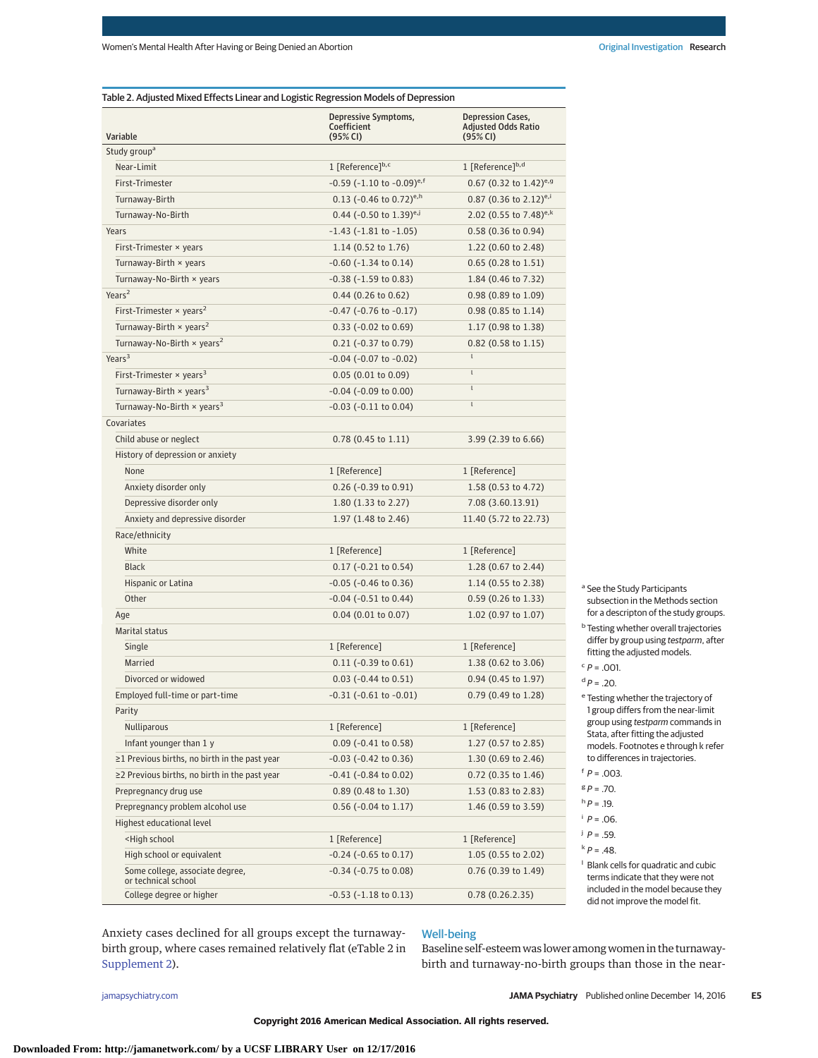| Table 2. Adjusted Mixed Effects Linear and Logistic Regression Models of Depression |                                                 |                                                                                                          |  |  |  |
|-------------------------------------------------------------------------------------|-------------------------------------------------|----------------------------------------------------------------------------------------------------------|--|--|--|
| Variable                                                                            | Depressive Symptoms,<br>Coefficient<br>(95% CI) | <b>Depression Cases,</b><br><b>Adjusted Odds Ratio</b><br>(95% CI)                                       |  |  |  |
| Study group <sup>a</sup>                                                            |                                                 |                                                                                                          |  |  |  |
| Near-Limit                                                                          | 1 [Reference]b,c                                | 1 [Reference] <sup>b,d</sup>                                                                             |  |  |  |
| First-Trimester                                                                     | $-0.59$ ( $-1.10$ to $-0.09$ ) <sup>e,f</sup>   | 0.67 (0.32 to 1.42) <sup>e,g</sup>                                                                       |  |  |  |
| Turnaway-Birth                                                                      | 0.13 (-0.46 to 0.72) <sup>e,h</sup>             | 0.87 (0.36 to 2.12) <sup>e,i</sup>                                                                       |  |  |  |
| Turnaway-No-Birth                                                                   | 0.44 (-0.50 to 1.39) <sup>e,j</sup>             | 2.02 (0.55 to 7.48) <sup>e,k</sup>                                                                       |  |  |  |
| Years                                                                               | $-1.43$ ( $-1.81$ to $-1.05$ )                  | $0.58$ (0.36 to 0.94)                                                                                    |  |  |  |
| First-Trimester $\times$ years                                                      | $1.14$ (0.52 to 1.76)                           | $1.22$ (0.60 to 2.48)                                                                                    |  |  |  |
| Turnaway-Birth $\times$ years                                                       | $-0.60$ ( $-1.34$ to $0.14$ )                   | $0.65$ (0.28 to 1.51)                                                                                    |  |  |  |
| Turnaway-No-Birth $\times$ years                                                    | $-0.38$ ( $-1.59$ to 0.83)                      | 1.84 (0.46 to 7.32)                                                                                      |  |  |  |
| Years <sup>2</sup>                                                                  | $0.44$ (0.26 to 0.62)                           | $0.98(0.89 \text{ to } 1.09)$                                                                            |  |  |  |
| First-Trimester $\times$ years <sup>2</sup>                                         | $-0.47$ ( $-0.76$ to $-0.17$ )                  | $0.98(0.85 \text{ to } 1.14)$                                                                            |  |  |  |
| Turnaway-Birth $\times$ years <sup>2</sup>                                          | $0.33$ (-0.02 to 0.69)                          | 1.17 (0.98 to 1.38)                                                                                      |  |  |  |
| Turnaway-No-Birth $\times$ years <sup>2</sup>                                       | $0.21$ (-0.37 to 0.79)                          | $0.82$ (0.58 to 1.15)                                                                                    |  |  |  |
| Years <sup>3</sup>                                                                  | $-0.04$ ( $-0.07$ to $-0.02$ )                  | $\mathbf{I}$                                                                                             |  |  |  |
| First-Trimester $\times$ years <sup>3</sup>                                         | 0.05(0.01 to 0.09)                              | $\mathsf{L}% _{\mathsf{L}}\left( \mathsf{L}_{1}\right) \equiv\mathsf{L}_{2}\left( \mathsf{L}_{1}\right)$ |  |  |  |
| Turnaway-Birth $\times$ years <sup>3</sup>                                          | $-0.04$ ( $-0.09$ to $0.00$ )                   | f.                                                                                                       |  |  |  |
| Turnaway-No-Birth $\times$ years <sup>3</sup>                                       | $-0.03$ ( $-0.11$ to $0.04$ )                   | $\mathsf{L}$                                                                                             |  |  |  |
| Covariates                                                                          |                                                 |                                                                                                          |  |  |  |
| Child abuse or neglect                                                              | $0.78$ (0.45 to 1.11)                           | 3.99 (2.39 to 6.66)                                                                                      |  |  |  |
| History of depression or anxiety                                                    |                                                 |                                                                                                          |  |  |  |
| None                                                                                | 1 [Reference]                                   | 1 [Reference]                                                                                            |  |  |  |
| Anxiety disorder only                                                               | 0.26 (-0.39 to 0.91)                            | $1.58(0.53 \text{ to } 4.72)$                                                                            |  |  |  |
| Depressive disorder only                                                            | 1.80(1.33 to 2.27)                              | 7.08 (3.60.13.91)                                                                                        |  |  |  |
| Anxiety and depressive disorder                                                     | 1.97 (1.48 to 2.46)                             | 11.40 (5.72 to 22.73)                                                                                    |  |  |  |
| Race/ethnicity                                                                      |                                                 |                                                                                                          |  |  |  |
| White                                                                               | 1 [Reference]                                   | 1 [Reference]                                                                                            |  |  |  |
| <b>Black</b>                                                                        | $0.17$ (-0.21 to 0.54)                          | 1.28 (0.67 to 2.44)                                                                                      |  |  |  |
| Hispanic or Latina                                                                  | $-0.05$ ( $-0.46$ to 0.36)                      | $1.14$ (0.55 to 2.38)                                                                                    |  |  |  |
| Other                                                                               | $-0.04$ ( $-0.51$ to $0.44$ )                   | $0.59$ (0.26 to 1.33)                                                                                    |  |  |  |
| Age                                                                                 | $0.04$ (0.01 to 0.07)                           | $1.02$ (0.97 to 1.07)                                                                                    |  |  |  |
| Marital status                                                                      |                                                 |                                                                                                          |  |  |  |
| Single                                                                              | 1 [Reference]                                   | 1 [Reference]                                                                                            |  |  |  |
| Married                                                                             | $0.11$ (-0.39 to 0.61)                          | $1.38(0.62 \text{ to } 3.06)$                                                                            |  |  |  |
| Divorced or widowed                                                                 | 0.03 (-0.44 to 0.51)                            | 0.94 (0.45 to 1.97)                                                                                      |  |  |  |
| Employed full-time or part-time                                                     | $-0.31$ ( $-0.61$ to $-0.01$ )                  | $0.79$ (0.49 to 1.28)                                                                                    |  |  |  |
| Parity                                                                              |                                                 |                                                                                                          |  |  |  |
| <b>Nulliparous</b>                                                                  | 1 [Reference]                                   | 1 [Reference]                                                                                            |  |  |  |
| Infant younger than 1 y                                                             | $0.09$ (-0.41 to 0.58)                          | 1.27 (0.57 to 2.85)                                                                                      |  |  |  |
| $\geq$ 1 Previous births, no birth in the past year                                 | $-0.03$ ( $-0.42$ to $0.36$ )                   | $1.30(0.69 \text{ to } 2.46)$                                                                            |  |  |  |
| $\geq$ 2 Previous births, no birth in the past year                                 | $-0.41$ ( $-0.84$ to $0.02$ )                   | $0.72$ (0.35 to 1.46)                                                                                    |  |  |  |
| Prepregnancy drug use                                                               | $0.89$ (0.48 to 1.30)                           | $1.53$ (0.83 to 2.83)                                                                                    |  |  |  |
| Prepregnancy problem alcohol use                                                    | $0.56$ (-0.04 to 1.17)                          | 1.46 $(0.59 \text{ to } 3.59)$                                                                           |  |  |  |
| Highest educational level                                                           |                                                 |                                                                                                          |  |  |  |
| <high school<="" td=""><td>1 [Reference]</td><td>1 [Reference]</td></high>          | 1 [Reference]                                   | 1 [Reference]                                                                                            |  |  |  |
| High school or equivalent                                                           | $-0.24$ ( $-0.65$ to $0.17$ )                   | $1.05$ (0.55 to 2.02)                                                                                    |  |  |  |
| Some college, associate degree,<br>or technical school                              | $-0.34$ ( $-0.75$ to $0.08$ )                   | $0.76$ (0.39 to 1.49)                                                                                    |  |  |  |
| College degree or higher                                                            | $-0.53$ ( $-1.18$ to $0.13$ )                   | 0.78(0.26.2.35)                                                                                          |  |  |  |

<sup>a</sup> See the Study Participants subsection in the Methods section for a descripton of the study groups.

<sup>e</sup> Testing whether the trajectory of 1 group differs from the near-limit group using testparm commands in Stata, after fitting the adjusted models. Footnotes e through k refer to differences in trajectories.  $f P = .003$ .

- 
- $P = .59$ .

<sup>1</sup> Blank cells for quadratic and cubic terms indicate that they were not included in the model because they did not improve the model fit.

Anxiety cases declined for all groups except the turnawaybirth group, where cases remained relatively flat (eTable 2 in [Supplement 2\)](http://jama.jamanetwork.com/article.aspx?doi=10.1001/jamapsychiatry.2016.3478&utm_campaign=articlePDF%26utm_medium=articlePDFlink%26utm_source=articlePDF%26utm_content=jamapsychiatry.2016.3478).

## Well-being

Baseline self-esteemwas lower amongwomen in the turnawaybirth and turnaway-no-birth groups than those in the near-

<sup>b</sup> Testing whether overall trajectories differ by group using testparm, after fitting the adjusted models.

 $c$   $p = .001$ .

 $dP = .20$ .

 ${}^{g}P = .70.$ 

 $h p = .19$ .  $P = .06$ .

 $k p = .48.$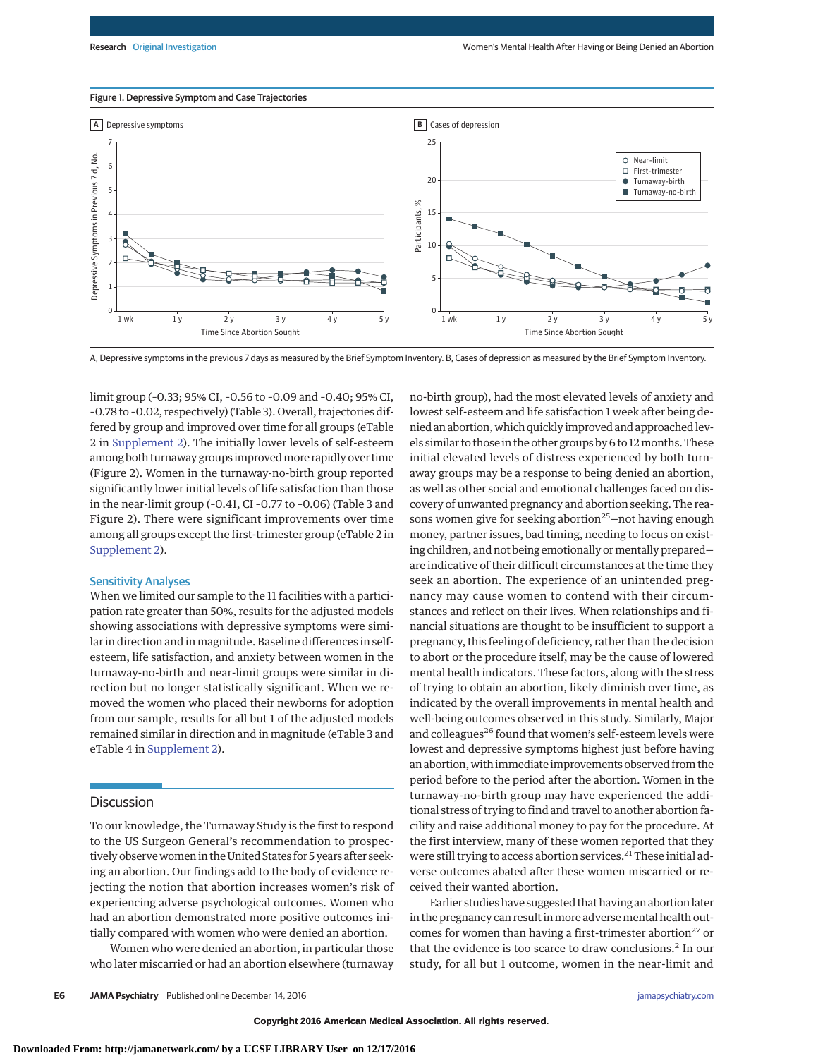## Figure 1. Depressive Symptom and Case Trajectories



A, Depressive symptoms in the previous 7 days as measured by the Brief Symptom Inventory. B, Cases of depression as measured by the Brief Symptom Inventory.

limit group (–0.33; 95% CI, –0.56 to –0.09 and –0.40; 95% CI, –0.78 to –0.02, respectively) (Table 3). Overall, trajectories differed by group and improved over time for all groups (eTable 2 in [Supplement 2\)](http://jama.jamanetwork.com/article.aspx?doi=10.1001/jamapsychiatry.2016.3478&utm_campaign=articlePDF%26utm_medium=articlePDFlink%26utm_source=articlePDF%26utm_content=jamapsychiatry.2016.3478). The initially lower levels of self-esteem among both turnaway groups improvedmore rapidly over time (Figure 2). Women in the turnaway-no-birth group reported significantly lower initial levels of life satisfaction than those in the near-limit group (–0.41, CI –0.77 to –0.06) (Table 3 and Figure 2). There were significant improvements over time among all groups except the first-trimester group (eTable 2 in [Supplement 2\)](http://jama.jamanetwork.com/article.aspx?doi=10.1001/jamapsychiatry.2016.3478&utm_campaign=articlePDF%26utm_medium=articlePDFlink%26utm_source=articlePDF%26utm_content=jamapsychiatry.2016.3478).

#### Sensitivity Analyses

When we limited our sample to the 11 facilities with a participation rate greater than 50%, results for the adjusted models showing associations with depressive symptoms were similar in direction and in magnitude. Baseline differences in selfesteem, life satisfaction, and anxiety between women in the turnaway-no-birth and near-limit groups were similar in direction but no longer statistically significant. When we removed the women who placed their newborns for adoption from our sample, results for all but 1 of the adjusted models remained similar in direction and in magnitude (eTable 3 and eTable 4 in [Supplement 2\)](http://jama.jamanetwork.com/article.aspx?doi=10.1001/jamapsychiatry.2016.3478&utm_campaign=articlePDF%26utm_medium=articlePDFlink%26utm_source=articlePDF%26utm_content=jamapsychiatry.2016.3478).

## **Discussion**

To our knowledge, the Turnaway Study is the first to respond to the US Surgeon General's recommendation to prospectively observe women in the United States for 5 years after seeking an abortion. Our findings add to the body of evidence rejecting the notion that abortion increases women's risk of experiencing adverse psychological outcomes. Women who had an abortion demonstrated more positive outcomes initially compared with women who were denied an abortion.

Women who were denied an abortion, in particular those who later miscarried or had an abortion elsewhere (turnaway no-birth group), had the most elevated levels of anxiety and lowest self-esteem and life satisfaction 1 week after being denied an abortion, which quickly improved and approached levels similar to those in the other groups by 6 to 12 months. These initial elevated levels of distress experienced by both turnaway groups may be a response to being denied an abortion, as well as other social and emotional challenges faced on discovery of unwanted pregnancy and abortion seeking. The reasons women give for seeking abortion<sup>25</sup> $-$ not having enough money, partner issues, bad timing, needing to focus on existing children, and not being emotionally or mentally preparedare indicative of their difficult circumstances at the time they seek an abortion. The experience of an unintended pregnancy may cause women to contend with their circumstances and reflect on their lives. When relationships and financial situations are thought to be insufficient to support a pregnancy, this feeling of deficiency, rather than the decision to abort or the procedure itself, may be the cause of lowered mental health indicators. These factors, along with the stress of trying to obtain an abortion, likely diminish over time, as indicated by the overall improvements in mental health and well-being outcomes observed in this study. Similarly, Major and colleagues<sup>26</sup> found that women's self-esteem levels were lowest and depressive symptoms highest just before having an abortion, with immediate improvements observed from the period before to the period after the abortion. Women in the turnaway-no-birth group may have experienced the additional stress of trying to find and travel to another abortion facility and raise additional money to pay for the procedure. At the first interview, many of these women reported that they were still trying to access abortion services.<sup>21</sup> These initial adverse outcomes abated after these women miscarried or received their wanted abortion.

Earlier studies have suggested that having an abortion later in the pregnancy can result in more adverse mental health outcomes for women than having a first-trimester abortion<sup>27</sup> or that the evidence is too scarce to draw conclusions.<sup>2</sup> In our study, for all but 1 outcome, women in the near-limit and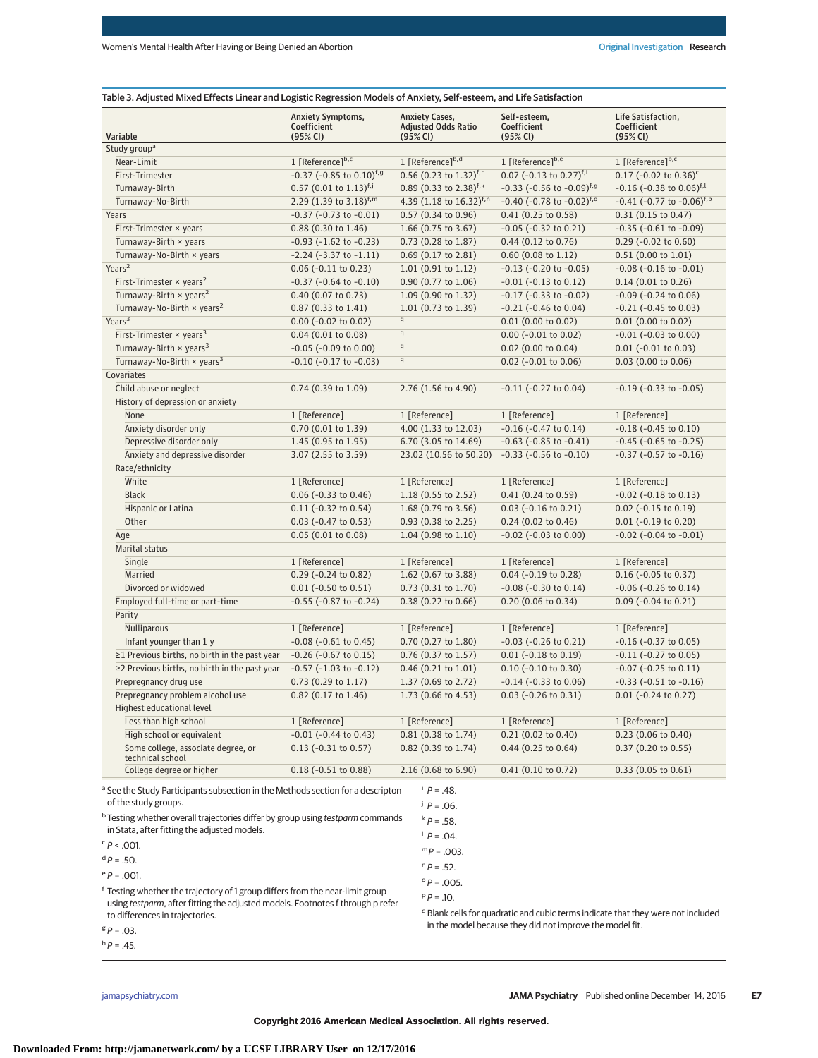| Variable                                                                                                                                  | <b>Anxiety Symptoms,</b><br>Coefficient<br>(95% CI) | <b>Anxiety Cases,</b><br><b>Adjusted Odds Ratio</b><br>(95% CI) | Self-esteem,<br>Coefficient<br>$(95% \, \text{Cl})$ | Life Satisfaction,<br>Coefficient<br>(95% CI) |
|-------------------------------------------------------------------------------------------------------------------------------------------|-----------------------------------------------------|-----------------------------------------------------------------|-----------------------------------------------------|-----------------------------------------------|
| Study group <sup>a</sup>                                                                                                                  |                                                     |                                                                 |                                                     |                                               |
| Near-Limit                                                                                                                                | 1 [Reference]b,c                                    | 1 [Reference] <sup>b,d</sup>                                    | 1 [Reference] $b,e$                                 | 1 [Reference] $b,c$                           |
| First-Trimester                                                                                                                           | $-0.37$ (-0.85 to 0.10) <sup>f,g</sup>              | 0.56 (0.23 to 1.32) <sup>f,h</sup>                              | 0.07 (-0.13 to 0.27) <sup>f,i</sup>                 | $0.17$ (-0.02 to 0.36) <sup>c</sup>           |
| Turnaway-Birth                                                                                                                            | $0.57$ (0.01 to 1.13) <sup>f,j</sup>                | 0.89 (0.33 to 2.38) <sup>f,k</sup>                              | $-0.33$ (-0.56 to -0.09) <sup>f,g</sup>             | $-0.16$ ( $-0.38$ to $0.06$ ) <sup>f,l</sup>  |
| Turnaway-No-Birth                                                                                                                         | 2.29 (1.39 to 3.18) <sup>f,m</sup>                  | 4.39 (1.18 to 16.32) <sup>f,n</sup>                             | $-0.40$ (-0.78 to $-0.02$ ) <sup>f,o</sup>          | $-0.41$ (-0.77 to $-0.06$ ) <sup>f,p</sup>    |
| Years                                                                                                                                     | $-0.37$ ( $-0.73$ to $-0.01$ )                      | $0.57$ (0.34 to 0.96)                                           | $0.41$ (0.25 to 0.58)                               | $0.31$ (0.15 to 0.47)                         |
| First-Trimester × years                                                                                                                   | 0.88 (0.30 to 1.46)                                 | 1.66 (0.75 to 3.67)                                             | $-0.05$ ( $-0.32$ to $0.21$ )                       | $-0.35$ ( $-0.61$ to $-0.09$ )                |
| Turnaway-Birth $\times$ years                                                                                                             | $-0.93$ ( $-1.62$ to $-0.23$ )                      | 0.73 (0.28 to 1.87)                                             | $0.44$ (0.12 to 0.76)                               | $0.29$ (-0.02 to 0.60)                        |
| Turnaway-No-Birth × years                                                                                                                 | $-2.24$ ( $-3.37$ to $-1.11$ )                      | $0.69$ (0.17 to 2.81)                                           | $0.60$ (0.08 to 1.12)                               | $0.51$ (0.00 to 1.01)                         |
| Years <sup>2</sup>                                                                                                                        | $0.06$ (-0.11 to 0.23)                              | $1.01$ (0.91 to 1.12)                                           | $-0.13$ ( $-0.20$ to $-0.05$ )                      | $-0.08$ ( $-0.16$ to $-0.01$ )                |
| First-Trimester $\times$ years <sup>2</sup>                                                                                               |                                                     |                                                                 | $-0.01$ ( $-0.13$ to $0.12$ )                       |                                               |
|                                                                                                                                           | $-0.37$ ( $-0.64$ to $-0.10$ )                      | 0.90 (0.77 to 1.06)                                             |                                                     | $0.14$ (0.01 to 0.26)                         |
| Turnaway-Birth $\times$ years <sup>2</sup><br>Turnaway-No-Birth $\times$ years <sup>2</sup>                                               | $0.40$ (0.07 to 0.73)                               | 1.09 (0.90 to 1.32)                                             | $-0.17$ ( $-0.33$ to $-0.02$ )                      | $-0.09$ ( $-0.24$ to $0.06$ )                 |
|                                                                                                                                           | $0.87$ (0.33 to 1.41)                               | 1.01 (0.73 to 1.39)                                             | $-0.21$ ( $-0.46$ to $0.04$ )                       | $-0.21$ ( $-0.45$ to $0.03$ )                 |
| Years <sup>3</sup>                                                                                                                        | $0.00$ (-0.02 to 0.02)                              | $\mathsf{q}$<br>$\mathbf q$                                     | $0.01$ (0.00 to 0.02)                               | $0.01$ (0.00 to 0.02)                         |
| First-Trimester $\times$ years <sup>3</sup>                                                                                               | $0.04$ (0.01 to 0.08)                               |                                                                 | $0.00$ (-0.01 to 0.02)                              | $-0.01$ ( $-0.03$ to $0.00$ )                 |
| Turnaway-Birth $\times$ years <sup>3</sup>                                                                                                | $-0.05$ ( $-0.09$ to $0.00$ )                       | $\mathsf{q}$                                                    | $0.02$ (0.00 to 0.04)                               | $0.01$ (-0.01 to 0.03)                        |
| Turnaway-No-Birth $\times$ years <sup>3</sup>                                                                                             | $-0.10$ ( $-0.17$ to $-0.03$ )                      | $\mathsf{q}$                                                    | $0.02$ (-0.01 to 0.06)                              | $0.03$ (0.00 to 0.06)                         |
| Covariates                                                                                                                                |                                                     |                                                                 |                                                     |                                               |
| Child abuse or neglect                                                                                                                    | 0.74 (0.39 to 1.09)                                 | 2.76 (1.56 to 4.90)                                             | $-0.11$ ( $-0.27$ to $0.04$ )                       | $-0.19$ ( $-0.33$ to $-0.05$ )                |
| History of depression or anxiety                                                                                                          |                                                     |                                                                 |                                                     |                                               |
| None                                                                                                                                      | 1 [Reference]                                       | 1 [Reference]                                                   | 1 [Reference]                                       | 1 [Reference]                                 |
| Anxiety disorder only                                                                                                                     | 0.70 (0.01 to 1.39)                                 | 4.00 (1.33 to 12.03)                                            | $-0.16$ ( $-0.47$ to $0.14$ )                       | $-0.18$ ( $-0.45$ to $0.10$ )                 |
| Depressive disorder only                                                                                                                  | 1.45 (0.95 to 1.95)                                 | 6.70 (3.05 to 14.69)                                            | $-0.63$ ( $-0.85$ to $-0.41$ )                      | $-0.45$ ( $-0.65$ to $-0.25$ )                |
| Anxiety and depressive disorder                                                                                                           | 3.07 (2.55 to 3.59)                                 | 23.02 (10.56 to 50.20)                                          | $-0.33$ ( $-0.56$ to $-0.10$ )                      | $-0.37$ ( $-0.57$ to $-0.16$ )                |
| Race/ethnicity                                                                                                                            |                                                     |                                                                 |                                                     |                                               |
| White                                                                                                                                     | 1 [Reference]                                       | 1 [Reference]                                                   | 1 [Reference]                                       | 1 [Reference]                                 |
| <b>Black</b>                                                                                                                              | $0.06$ (-0.33 to 0.46)                              | 1.18 (0.55 to 2.52)                                             | $0.41$ (0.24 to 0.59)                               | $-0.02$ ( $-0.18$ to $0.13$ )                 |
| Hispanic or Latina                                                                                                                        | $0.11$ (-0.32 to 0.54)                              | 1.68 (0.79 to 3.56)                                             | $0.03$ (-0.16 to 0.21)                              | $0.02$ (-0.15 to 0.19)                        |
| Other                                                                                                                                     | $0.03$ (-0.47 to 0.53)                              | $0.93$ (0.38 to 2.25)                                           | $0.24$ (0.02 to 0.46)                               | $0.01$ (-0.19 to 0.20)                        |
| Age                                                                                                                                       | $0.05$ (0.01 to 0.08)                               | $1.04$ (0.98 to 1.10)                                           | $-0.02$ ( $-0.03$ to $0.00$ )                       | $-0.02$ ( $-0.04$ to $-0.01$ )                |
| Marital status                                                                                                                            |                                                     |                                                                 |                                                     |                                               |
| Single                                                                                                                                    | 1 [Reference]                                       | 1 [Reference]                                                   | 1 [Reference]                                       | 1 [Reference]                                 |
| Married                                                                                                                                   | $0.29$ (-0.24 to 0.82)                              | 1.62 (0.67 to 3.88)                                             | $0.04$ (-0.19 to 0.28)                              | $0.16$ (-0.05 to 0.37)                        |
| Divorced or widowed                                                                                                                       | $0.01$ (-0.50 to 0.51)                              | 0.73 (0.31 to 1.70)                                             | $-0.08$ ( $-0.30$ to $0.14$ )                       | $-0.06$ ( $-0.26$ to $0.14$ )                 |
| Employed full-time or part-time                                                                                                           | $-0.55$ ( $-0.87$ to $-0.24$ )                      | $0.38$ (0.22 to 0.66)                                           | $0.20$ (0.06 to 0.34)                               | $0.09$ (-0.04 to 0.21)                        |
| Parity                                                                                                                                    |                                                     |                                                                 |                                                     |                                               |
| <b>Nulliparous</b>                                                                                                                        | 1 [Reference]                                       | 1 [Reference]                                                   | 1 [Reference]                                       | 1 [Reference]                                 |
| Infant younger than 1 y                                                                                                                   | $-0.08$ ( $-0.61$ to $0.45$ )                       | 0.70 (0.27 to 1.80)                                             | $-0.03$ ( $-0.26$ to $0.21$ )                       | $-0.16$ ( $-0.37$ to $0.05$ )                 |
| $\geq$ 1 Previous births, no birth in the past year                                                                                       | $-0.26$ ( $-0.67$ to $0.15$ )                       | $0.76$ (0.37 to 1.57)                                           | $0.01$ (-0.18 to 0.19)                              | $-0.11$ ( $-0.27$ to $0.05$ )                 |
| ≥2 Previous births, no birth in the past year                                                                                             | $-0.57$ ( $-1.03$ to $-0.12$ )                      | 0.46 (0.21 to 1.01)                                             | $0.10$ (-0.10 to 0.30)                              | $-0.07$ ( $-0.25$ to $0.11$ )                 |
| Prepregnancy drug use                                                                                                                     | 0.73 (0.29 to 1.17)                                 | 1.37 (0.69 to 2.72)                                             | $-0.14$ ( $-0.33$ to $0.06$ )                       | $-0.33$ ( $-0.51$ to $-0.16$ )                |
| Prepregnancy problem alcohol use                                                                                                          | 0.82 (0.17 to 1.46)                                 | 1.73 (0.66 to 4.53)                                             | 0.03 (-0.26 to 0.31)                                | $0.01$ (-0.24 to 0.27)                        |
| Highest educational level                                                                                                                 |                                                     |                                                                 |                                                     |                                               |
| Less than high school                                                                                                                     | 1 [Reference]                                       | 1 [Reference]                                                   | 1 [Reference]                                       | 1 [Reference]                                 |
| High school or equivalent                                                                                                                 | $-0.01$ ( $-0.44$ to $0.43$ )                       | 0.81 (0.38 to 1.74)                                             | $0.21$ (0.02 to 0.40)                               | 0.23 (0.06 to 0.40)                           |
| Some college, associate degree, or<br>technical school                                                                                    | $0.13$ (-0.31 to 0.57)                              | 0.82 (0.39 to 1.74)                                             | $0.44$ (0.25 to 0.64)                               | 0.37 (0.20 to 0.55)                           |
| College degree or higher                                                                                                                  | $0.18$ (-0.51 to 0.88)                              | 2.16 (0.68 to 6.90)                                             | $0.41$ (0.10 to 0.72)                               | $0.33$ (0.05 to 0.61)                         |
| <sup>a</sup> See the Study Participants subsection in the Methods section for a descripton<br>of the study groups.                        |                                                     | $P = .48$ .<br>$P = .06$ .                                      |                                                     |                                               |
| <sup>b</sup> Testing whether overall trajectories differ by group using testparm commands<br>in Stata, after fitting the adjusted models. |                                                     | $kP = .58$ .<br>$P = .04$ .                                     |                                                     |                                               |
| $P < .001$ .                                                                                                                              |                                                     | $mb - \Omega$                                                   |                                                     |                                               |

 $dP = .50$ .

 $^{\rm e}P = .001.$ 

 $^{\mathsf{f}}$  Testing whether the trajectory of 1 group differs from the near-limit group using testparm, after fitting the adjusted models. Footnotes f through p refer to differences in trajectories.

<sup>q</sup> Blank cells for quadratic and cubic terms indicate that they were not included in the model because they did not improve the model fit.

 $g p = 0.03$ .

 $h p = .45$ .

 $m_p = .003$ .  $n p = .52$ .  $^{\circ}P = .005.$  $^{\rm p}P$  = .10.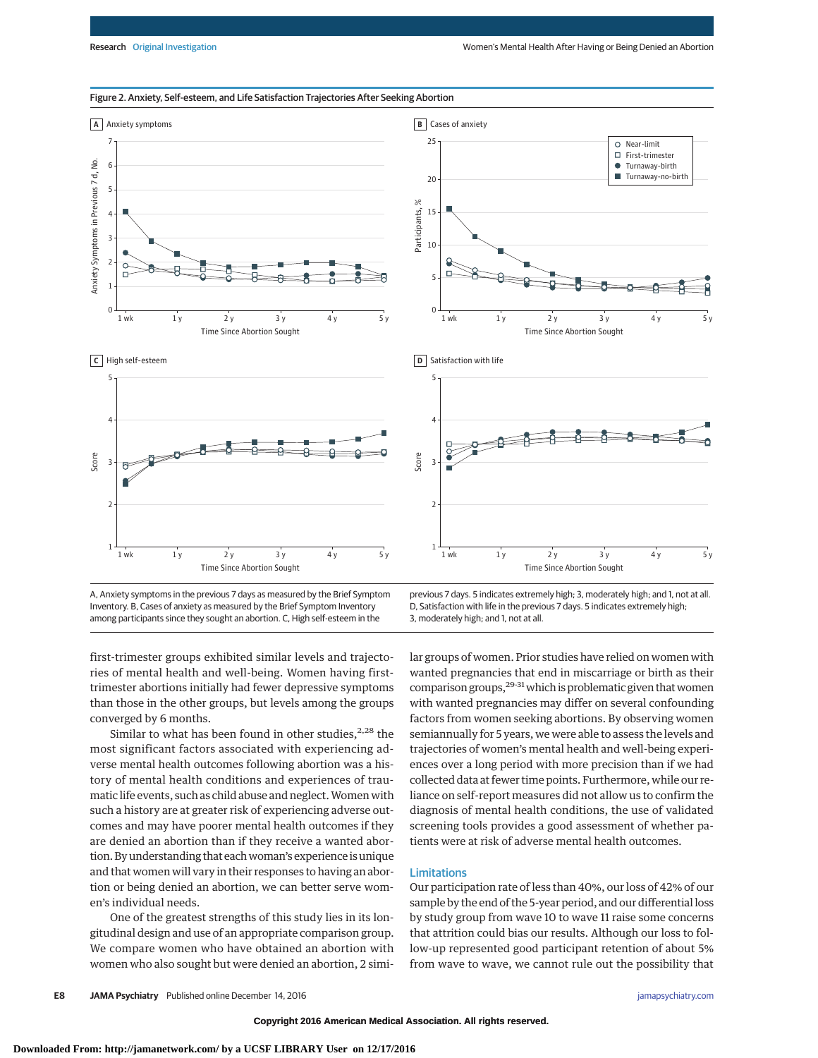

Figure 2. Anxiety, Self-esteem, and Life Satisfaction Trajectories After Seeking Abortion

A, Anxiety symptoms in the previous 7 days as measured by the Brief Symptom Inventory. B, Cases of anxiety as measured by the Brief Symptom Inventory among participants since they sought an abortion. C, High self-esteem in the

previous 7 days. 5 indicates extremely high; 3, moderately high; and 1, not at all. D, Satisfaction with life in the previous 7 days. 5 indicates extremely high; 3, moderately high; and 1, not at all.

first-trimester groups exhibited similar levels and trajectories of mental health and well-being. Women having firsttrimester abortions initially had fewer depressive symptoms than those in the other groups, but levels among the groups converged by 6 months.

Similar to what has been found in other studies, $2,28$  the most significant factors associated with experiencing adverse mental health outcomes following abortion was a history of mental health conditions and experiences of traumatic life events, such as child abuse and neglect.Women with such a history are at greater risk of experiencing adverse outcomes and may have poorer mental health outcomes if they are denied an abortion than if they receive a wanted abortion. By understanding that eachwoman's experience is unique and that women will vary in their responses to having an abortion or being denied an abortion, we can better serve women's individual needs.

One of the greatest strengths of this study lies in its longitudinal design and use of an appropriate comparison group. We compare women who have obtained an abortion with women who also sought but were denied an abortion, 2 similar groups of women. Prior studies have relied on women with wanted pregnancies that end in miscarriage or birth as their comparison groups, $29-31$  which is problematic given that women with wanted pregnancies may differ on several confounding factors from women seeking abortions. By observing women semiannually for 5 years, we were able to assess the levels and trajectories of women's mental health and well-being experiences over a long period with more precision than if we had collected data at fewer time points. Furthermore, while our reliance on self-report measures did not allow us to confirm the diagnosis of mental health conditions, the use of validated screening tools provides a good assessment of whether patients were at risk of adverse mental health outcomes.

## Limitations

Our participation rate of less than 40%, our loss of 42% of our sample by the end of the 5-year period, and our differential loss by study group from wave 10 to wave 11 raise some concerns that attrition could bias our results. Although our loss to follow-up represented good participant retention of about 5% from wave to wave, we cannot rule out the possibility that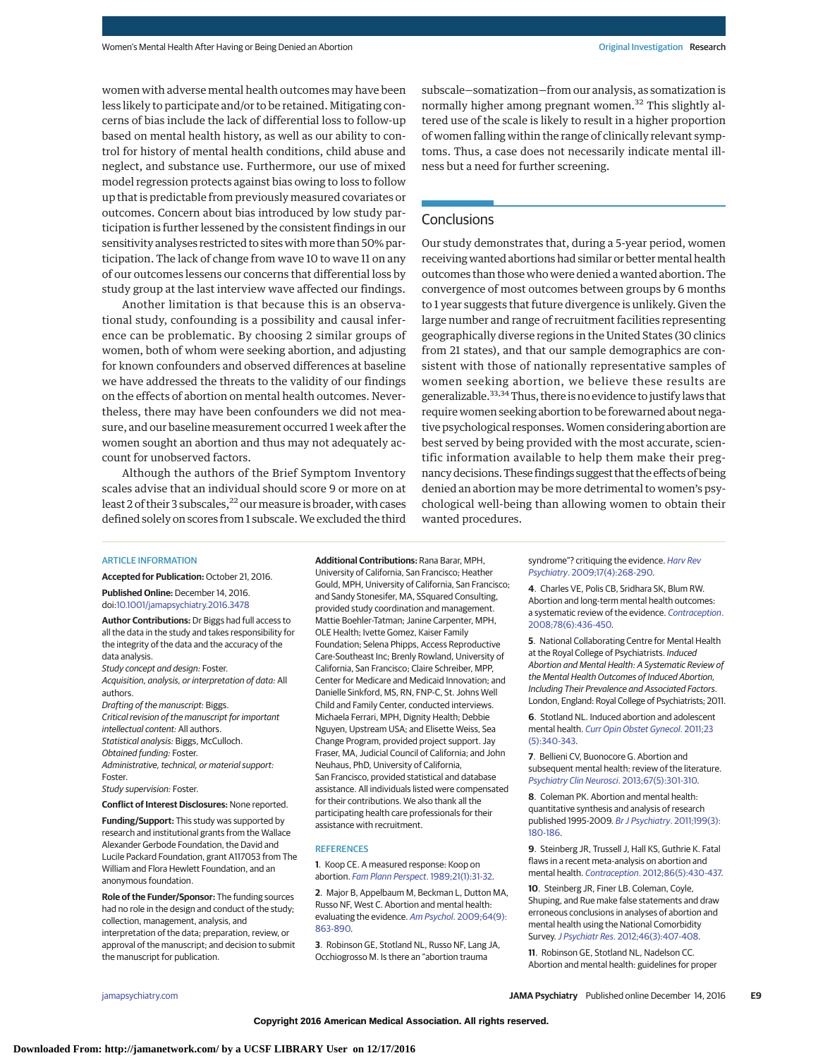women with adverse mental health outcomes may have been less likely to participate and/or to be retained. Mitigating concerns of bias include the lack of differential loss to follow-up based on mental health history, as well as our ability to control for history of mental health conditions, child abuse and neglect, and substance use. Furthermore, our use of mixed model regression protects against bias owing to loss to follow up that is predictable from previously measured covariates or outcomes. Concern about bias introduced by low study participation is further lessened by the consistent findings in our sensitivity analyses restricted to sites with more than 50% participation. The lack of change from wave 10 to wave 11 on any of our outcomes lessens our concerns that differential loss by study group at the last interview wave affected our findings.

Another limitation is that because this is an observational study, confounding is a possibility and causal inference can be problematic. By choosing 2 similar groups of women, both of whom were seeking abortion, and adjusting for known confounders and observed differences at baseline we have addressed the threats to the validity of our findings on the effects of abortion on mental health outcomes. Nevertheless, there may have been confounders we did not measure, and our baseline measurement occurred 1 week after the women sought an abortion and thus may not adequately account for unobserved factors.

Although the authors of the Brief Symptom Inventory scales advise that an individual should score 9 or more on at least 2 of their 3 subscales,  $^{22}$  our measure is broader, with cases defined solely on scores from 1 subscale.We excluded the third subscale—somatization—from our analysis, as somatization is normally higher among pregnant women.<sup>32</sup> This slightly altered use of the scale is likely to result in a higher proportion of women falling within the range of clinically relevant symptoms. Thus, a case does not necessarily indicate mental illness but a need for further screening.

## **Conclusions**

Our study demonstrates that, during a 5-year period, women receiving wanted abortions had similar or better mental health outcomes than those who were denied a wanted abortion. The convergence of most outcomes between groups by 6 months to 1 year suggests that future divergence is unlikely. Given the large number and range of recruitment facilities representing geographically diverse regions in the United States (30 clinics from 21 states), and that our sample demographics are consistent with those of nationally representative samples of women seeking abortion, we believe these results are generalizable.<sup>33,34</sup> Thus, there is no evidence to justify laws that require women seeking abortion to be forewarned about negative psychological responses.Women considering abortion are best served by being provided with the most accurate, scientific information available to help them make their pregnancy decisions. These findings suggest that the effects of being denied an abortion may be more detrimental to women's psychological well-being than allowing women to obtain their wanted procedures.

#### ARTICLE INFORMATION

**Accepted for Publication:** October 21, 2016.

**Published Online:** December 14, 2016. doi[:10.1001/jamapsychiatry.2016.3478](http://jama.jamanetwork.com/article.aspx?doi=10.1001/jamapsychiatry.2016.3478&utm_campaign=articlePDF%26utm_medium=articlePDFlink%26utm_source=articlePDF%26utm_content=jamapsychiatry.2016.3478)

**Author Contributions:** Dr Biggs had full access to all the data in the study and takes responsibility for the integrity of the data and the accuracy of the data analysis.

Study concept and design: Foster.

Acquisition, analysis, or interpretation of data: All authors.

Drafting of the manuscript: Biggs. Critical revision of the manuscript for important

- intellectual content: All authors. Statistical analysis: Biggs, McCulloch.
- Obtained funding: Foster.

Administrative, technical, or material support: Foster.

Study supervision: Foster.

#### **Conflict of Interest Disclosures:** None reported.

**Funding/Support:** This study was supported by research and institutional grants from the Wallace Alexander Gerbode Foundation, the David and Lucile Packard Foundation, grant A117053 from The William and Flora Hewlett Foundation, and an anonymous foundation.

**Role of the Funder/Sponsor:** The funding sources had no role in the design and conduct of the study; collection, management, analysis, and interpretation of the data; preparation, review, or approval of the manuscript; and decision to submit the manuscript for publication.

**Additional Contributions:** Rana Barar, MPH, University of California, San Francisco; Heather Gould, MPH, University of California, San Francisco; and Sandy Stonesifer, MA, SSquared Consulting, provided study coordination and management. Mattie Boehler-Tatman; Janine Carpenter, MPH, OLE Health; Ivette Gomez, Kaiser Family Foundation; Selena Phipps, Access Reproductive Care-Southeast Inc; Brenly Rowland, University of California, San Francisco; Claire Schreiber, MPP, Center for Medicare and Medicaid Innovation; and Danielle Sinkford, MS, RN, FNP-C, St. Johns Well Child and Family Center, conducted interviews. Michaela Ferrari, MPH, Dignity Health; Debbie Nguyen, Upstream USA; and Elisette Weiss, Sea Change Program, provided project support. Jay Fraser, MA, Judicial Council of California; and John Neuhaus, PhD, University of California, San Francisco, provided statistical and database assistance. All individuals listed were compensated for their contributions. We also thank all the participating health care professionals for their assistance with recruitment.

#### **REFERENCES**

**1**. Koop CE. A measured response: Koop on abortion. [Fam Plann Perspect](https://www.ncbi.nlm.nih.gov/pubmed/2703033). 1989;21(1):31-32.

**2**. Major B, Appelbaum M, Beckman L, Dutton MA, Russo NF, West C. Abortion and mental health: evaluating the evidence. Am Psychol[. 2009;64\(9\):](https://www.ncbi.nlm.nih.gov/pubmed/19968372) [863-890.](https://www.ncbi.nlm.nih.gov/pubmed/19968372)

**3**. Robinson GE, Stotland NL, Russo NF, Lang JA, Occhiogrosso M. Is there an "abortion trauma

syndrome"? critiquing the evidence. [Harv Rev](https://www.ncbi.nlm.nih.gov/pubmed/19637075) Psychiatry[. 2009;17\(4\):268-290.](https://www.ncbi.nlm.nih.gov/pubmed/19637075)

**4**. Charles VE, Polis CB, Sridhara SK, Blum RW. Abortion and long-term mental health outcomes: a systematic review of the evidence. [Contraception](https://www.ncbi.nlm.nih.gov/pubmed/19014789). [2008;78\(6\):436-450.](https://www.ncbi.nlm.nih.gov/pubmed/19014789)

**5**. National Collaborating Centre for Mental Health at the Royal College of Psychiatrists. Induced Abortion and Mental Health: A Systematic Review of the Mental Health Outcomes of Induced Abortion, Including Their Prevalence and Associated Factors. London, England: Royal College of Psychiatrists; 2011.

**6**. Stotland NL. Induced abortion and adolescent mental health. [Curr Opin Obstet Gynecol](https://www.ncbi.nlm.nih.gov/pubmed/21836505). 2011;23 [\(5\):340-343.](https://www.ncbi.nlm.nih.gov/pubmed/21836505)

**7**. Bellieni CV, Buonocore G. Abortion and subsequent mental health: review of the literature. [Psychiatry Clin Neurosci](https://www.ncbi.nlm.nih.gov/pubmed/23859662). 2013;67(5):301-310.

**8**. Coleman PK. Abortion and mental health: quantitative synthesis and analysis of research published 1995-2009. [Br J Psychiatry](https://www.ncbi.nlm.nih.gov/pubmed/21881096). 2011;199(3): [180-186.](https://www.ncbi.nlm.nih.gov/pubmed/21881096)

**9**. Steinberg JR, Trussell J, Hall KS, Guthrie K. Fatal flaws in a recent meta-analysis on abortion and mental health. Contraception[. 2012;86\(5\):430-437.](https://www.ncbi.nlm.nih.gov/pubmed/22579105)

**10**. Steinberg JR, Finer LB. Coleman, Coyle, Shuping, and Rue make false statements and draw erroneous conclusions in analyses of abortion and mental health using the National Comorbidity Survey.J Psychiatr Res[. 2012;46\(3\):407-408.](https://www.ncbi.nlm.nih.gov/pubmed/22348853)

**11**. Robinson GE, Stotland NL, Nadelson CC. Abortion and mental health: guidelines for proper